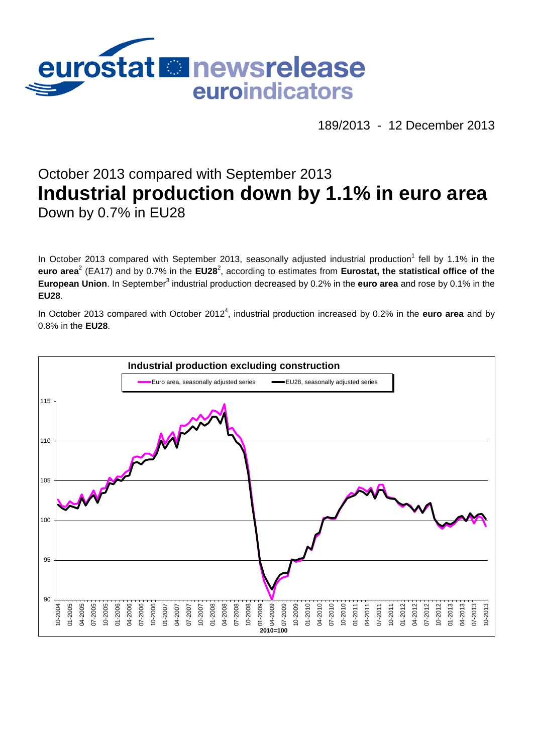

189/2013 - 12 December 2013

# October 2013 compared with September 2013 **Industrial production down by 1.1% in euro area** Down by 0.7% in EU28

In October 2013 compared with September 2013, seasonally adjusted industrial production<sup>1</sup> fell by 1.1% in the euro area<sup>2</sup> (EA17) and by 0.7% in the EU28<sup>2</sup>, according to estimates from Eurostat, the statistical office of the **European Union**. In September<sup>3</sup> industrial production decreased by 0.2% in the **euro area** and rose by 0.1% in the **EU28**.

In October 2013 compared with October 2012<sup>4</sup>, industrial production increased by 0.2% in the **euro area** and by 0.8% in the **EU28**.

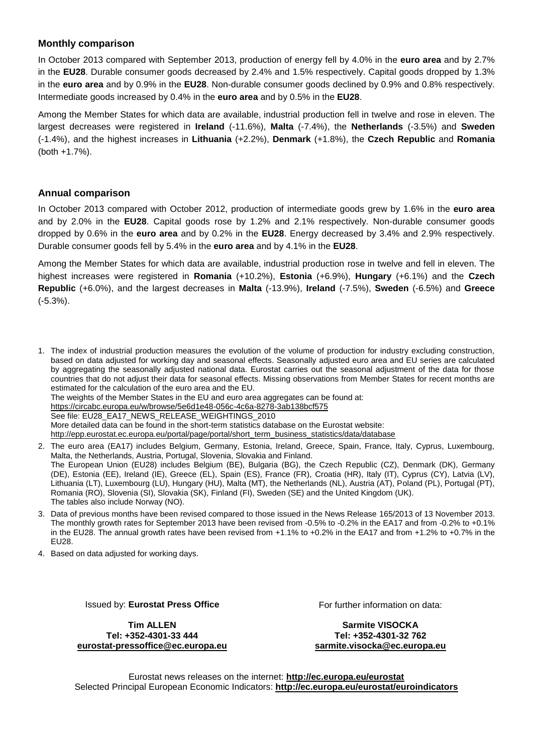### **Monthly comparison**

In October 2013 compared with September 2013, production of energy fell by 4.0% in the **euro area** and by 2.7% in the **EU28**. Durable consumer goods decreased by 2.4% and 1.5% respectively. Capital goods dropped by 1.3% in the **euro area** and by 0.9% in the **EU28**. Non-durable consumer goods declined by 0.9% and 0.8% respectively. Intermediate goods increased by 0.4% in the **euro area** and by 0.5% in the **EU28**.

Among the Member States for which data are available, industrial production fell in twelve and rose in eleven. The largest decreases were registered in **Ireland** (-11.6%), **Malta** (-7.4%), the **Netherlands** (-3.5%) and **Sweden** (-1.4%), and the highest increases in **Lithuania** (+2.2%), **Denmark** (+1.8%), the **Czech Republic** and **Romania** (both +1.7%).

#### **Annual comparison**

In October 2013 compared with October 2012, production of intermediate goods grew by 1.6% in the **euro area** and by 2.0% in the **EU28**. Capital goods rose by 1.2% and 2.1% respectively. Non-durable consumer goods dropped by 0.6% in the **euro area** and by 0.2% in the **EU28**. Energy decreased by 3.4% and 2.9% respectively. Durable consumer goods fell by 5.4% in the **euro area** and by 4.1% in the **EU28**.

Among the Member States for which data are available, industrial production rose in twelve and fell in eleven. The highest increases were registered in **Romania** (+10.2%), **Estonia** (+6.9%), **Hungary** (+6.1%) and the **Czech Republic** (+6.0%), and the largest decreases in **Malta** (-13.9%), **Ireland** (-7.5%), **Sweden** (-6.5%) and **Greece** (-5.3%).

1. The index of industrial production measures the evolution of the volume of production for industry excluding construction, based on data adjusted for working day and seasonal effects. Seasonally adjusted euro area and EU series are calculated by aggregating the seasonally adjusted national data. Eurostat carries out the seasonal adjustment of the data for those countries that do not adjust their data for seasonal effects. Missing observations from Member States for recent months are estimated for the calculation of the euro area and the EU. The weights of the Member States in the EU and euro area aggregates can be found at: <https://circabc.europa.eu/w/browse/5e6d1e48-056c-4c6a-8278-3ab138bcf575> See file: EU28\_EA17\_NEWS\_RELEASE\_WEIGHTINGS\_2010

More detailed data can be found in the short-term statistics database on the Eurostat website: [http://epp.eurostat.ec.europa.eu/portal/page/portal/short\\_term\\_business\\_statistics/data/database](http://epp.eurostat.ec.europa.eu/portal/page/portal/short_term_business_statistics/data/database)

2. The euro area (EA17) includes Belgium, Germany, Estonia, Ireland, Greece, Spain, France, Italy, Cyprus, Luxembourg, Malta, the Netherlands, Austria, Portugal, Slovenia, Slovakia and Finland. The European Union (EU28) includes Belgium (BE), Bulgaria (BG), the Czech Republic (CZ), Denmark (DK), Germany (DE), Estonia (EE), Ireland (IE), Greece (EL), Spain (ES), France (FR), Croatia (HR), Italy (IT), Cyprus (CY), Latvia (LV), Lithuania (LT), Luxembourg (LU), Hungary (HU), Malta (MT), the Netherlands (NL), Austria (AT), Poland (PL), Portugal (PT), Romania (RO), Slovenia (SI), Slovakia (SK), Finland (FI), Sweden (SE) and the United Kingdom (UK). The tables also include Norway (NO).

- 3. Data of previous months have been revised compared to those issued in the News Release 165/2013 of 13 November 2013. The monthly growth rates for September 2013 have been revised from -0.5% to -0.2% in the EA17 and from -0.2% to +0.1% in the EU28. The annual growth rates have been revised from +1.1% to +0.2% in the EA17 and from +1.2% to +0.7% in the EU28.
- 4. Based on data adjusted for working days.

Issued by: **Eurostat Press Office**

**Tim ALLEN Tel: +352-4301-33 444 [eurostat-pressoffice@ec.europa.eu](mailto:eurostat-pressoffice@ec.europa.eu)** For further information on data:

**Sarmite VISOCKA Tel: +352-4301-32 762 [sarmite.visocka@ec.europa.eu](mailto:sarmite.visocka@ec.europa.eu)**

Eurostat news releases on the internet: **<http://ec.europa.eu/eurostat>** Selected Principal European Economic Indicators: **<http://ec.europa.eu/eurostat/euroindicators>**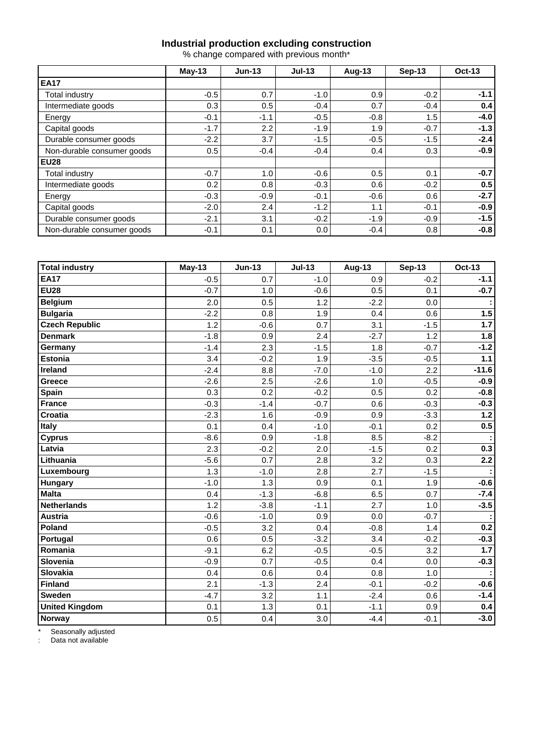#### **Industrial production excluding construction**

% change compared with previous month\*

|                            | $May-13$ | $Jun-13$ | $Jul-13$ | <b>Aug-13</b> | $Sep-13$ | <b>Oct-13</b> |  |
|----------------------------|----------|----------|----------|---------------|----------|---------------|--|
| <b>EA17</b>                |          |          |          |               |          |               |  |
| Total industry             | $-0.5$   | 0.7      | $-1.0$   | 0.9           | $-0.2$   | $-1.1$        |  |
| Intermediate goods         | 0.3      | 0.5      | $-0.4$   | 0.7           | $-0.4$   | 0.4           |  |
| Energy                     | $-0.1$   | $-1.1$   | $-0.5$   | $-0.8$        | 1.5      | $-4.0$        |  |
| Capital goods              | $-1.7$   | 2.2      | $-1.9$   | 1.9           | $-0.7$   | $-1.3$        |  |
| Durable consumer goods     | $-2.2$   | 3.7      | $-1.5$   | $-0.5$        | $-1.5$   | $-2.4$        |  |
| Non-durable consumer goods | 0.5      | $-0.4$   | $-0.4$   | 0.4           | 0.3      | $-0.9$        |  |
| <b>EU28</b>                |          |          |          |               |          |               |  |
| Total industry             | $-0.7$   | 1.0      | $-0.6$   | 0.5           | 0.1      | $-0.7$        |  |
| Intermediate goods         | 0.2      | 0.8      | $-0.3$   | 0.6           | $-0.2$   | 0.5           |  |
| Energy                     | $-0.3$   | $-0.9$   | $-0.1$   | $-0.6$        | 0.6      | $-2.7$        |  |
| Capital goods              | $-2.0$   | 2.4      | $-1.2$   | 1.1           | $-0.1$   | $-0.9$        |  |
| Durable consumer goods     | $-2.1$   | 3.1      | $-0.2$   | $-1.9$        | $-0.9$   | $-1.5$        |  |
| Non-durable consumer goods | $-0.1$   | 0.1      | 0.0      | $-0.4$        | 0.8      | $-0.8$        |  |

| Total industry        | $May-13$ | <b>Jun-13</b> | $Jul-13$ | <b>Aug-13</b> | <b>Sep-13</b> | <b>Oct-13</b> |
|-----------------------|----------|---------------|----------|---------------|---------------|---------------|
| <b>EA17</b>           | $-0.5$   | 0.7           | $-1.0$   | 0.9           | $-0.2$        | $-1.1$        |
| <b>EU28</b>           | $-0.7$   | 1.0           | $-0.6$   | 0.5           | 0.1           | $-0.7$        |
| <b>Belgium</b>        | 2.0      | 0.5           | 1.2      | $-2.2$        | 0.0           |               |
| <b>Bulgaria</b>       | $-2.2$   | 0.8           | 1.9      | 0.4           | 0.6           | 1.5           |
| <b>Czech Republic</b> | 1.2      | $-0.6$        | 0.7      | 3.1           | $-1.5$        | $1.7$         |
| <b>Denmark</b>        | $-1.8$   | 0.9           | 2.4      | $-2.7$        | 1.2           | 1.8           |
| Germany               | $-1.4$   | 2.3           | $-1.5$   | 1.8           | $-0.7$        | $-1.2$        |
| <b>Estonia</b>        | 3.4      | $-0.2$        | 1.9      | $-3.5$        | $-0.5$        | $1.1$         |
| Ireland               | $-2.4$   | 8.8           | $-7.0$   | $-1.0$        | 2.2           | $-11.6$       |
| Greece                | $-2.6$   | 2.5           | $-2.6$   | 1.0           | $-0.5$        | $-0.9$        |
| Spain                 | 0.3      | 0.2           | $-0.2$   | 0.5           | 0.2           | $-0.8$        |
| <b>France</b>         | $-0.3$   | $-1.4$        | $-0.7$   | 0.6           | $-0.3$        | $-0.3$        |
| Croatia               | $-2.3$   | 1.6           | $-0.9$   | 0.9           | $-3.3$        | $1.2$         |
| <b>Italy</b>          | 0.1      | 0.4           | $-1.0$   | $-0.1$        | 0.2           | 0.5           |
| <b>Cyprus</b>         | $-8.6$   | 0.9           | $-1.8$   | 8.5           | $-8.2$        |               |
| Latvia                | 2.3      | $-0.2$        | 2.0      | $-1.5$        | 0.2           | 0.3           |
| Lithuania             | $-5.6$   | 0.7           | 2.8      | 3.2           | 0.3           | 2.2           |
| Luxembourg            | 1.3      | $-1.0$        | 2.8      | 2.7           | $-1.5$        |               |
| <b>Hungary</b>        | $-1.0$   | 1.3           | 0.9      | 0.1           | 1.9           | $-0.6$        |
| <b>Malta</b>          | 0.4      | $-1.3$        | $-6.8$   | 6.5           | 0.7           | $-7.4$        |
| <b>Netherlands</b>    | 1.2      | $-3.8$        | $-1.1$   | 2.7           | 1.0           | $-3.5$        |
| <b>Austria</b>        | $-0.6$   | $-1.0$        | 0.9      | 0.0           | $-0.7$        |               |
| Poland                | $-0.5$   | 3.2           | 0.4      | $-0.8$        | 1.4           | 0.2           |
| Portugal              | 0.6      | 0.5           | $-3.2$   | 3.4           | $-0.2$        | $-0.3$        |
| Romania               | $-9.1$   | 6.2           | $-0.5$   | $-0.5$        | 3.2           | 1.7           |
| Slovenia              | $-0.9$   | 0.7           | $-0.5$   | 0.4           | 0.0           | $-0.3$        |
| Slovakia              | 0.4      | 0.6           | 0.4      | 0.8           | 1.0           |               |
| Finland               | 2.1      | $-1.3$        | 2.4      | $-0.1$        | $-0.2$        | $-0.6$        |
| <b>Sweden</b>         | $-4.7$   | 3.2           | 1.1      | $-2.4$        | 0.6           | $-1.4$        |
| <b>United Kingdom</b> | 0.1      | 1.3           | 0.1      | $-1.1$        | 0.9           | 0.4           |
| Norway                | 0.5      | 0.4           | 3.0      | $-4.4$        | $-0.1$        | $-3.0$        |

\* Seasonally adjusted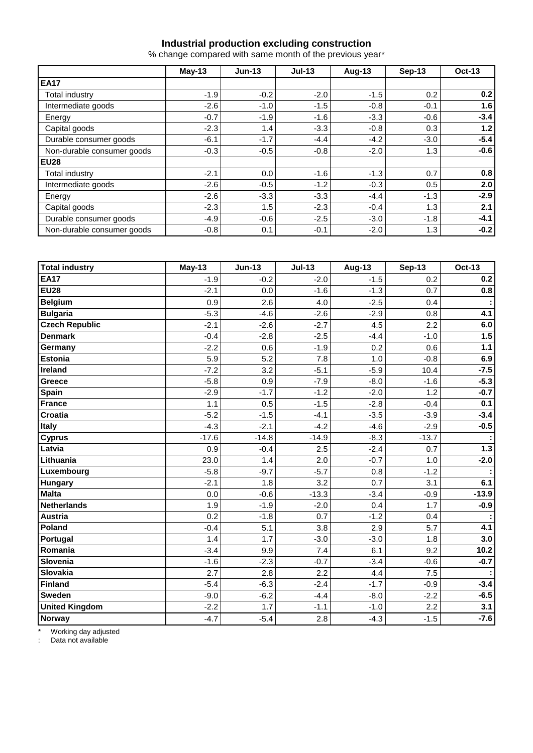#### **Industrial production excluding construction**

% change compared with same month of the previous year\*

|                            | $May-13$ | $Jun-13$ | $Jul-13$ | <b>Aug-13</b> | $Sep-13$ | <b>Oct-13</b> |  |
|----------------------------|----------|----------|----------|---------------|----------|---------------|--|
| <b>EA17</b>                |          |          |          |               |          |               |  |
| Total industry             | $-1.9$   | $-0.2$   | $-2.0$   | $-1.5$        | 0.2      | 0.2           |  |
| Intermediate goods         | $-2.6$   | $-1.0$   | $-1.5$   | $-0.8$        | $-0.1$   | 1.6           |  |
| Energy                     | $-0.7$   | $-1.9$   | $-1.6$   | $-3.3$        | $-0.6$   | $-3.4$        |  |
| Capital goods              | $-2.3$   | 1.4      | $-3.3$   | $-0.8$        | 0.3      | 1.2           |  |
| Durable consumer goods     | $-6.1$   | $-1.7$   | $-4.4$   | $-4.2$        | $-3.0$   | $-5.4$        |  |
| Non-durable consumer goods | $-0.3$   | $-0.5$   | $-0.8$   | $-2.0$        | 1.3      | $-0.6$        |  |
| <b>EU28</b>                |          |          |          |               |          |               |  |
| <b>Total industry</b>      | $-2.1$   | 0.0      | $-1.6$   | $-1.3$        | 0.7      | 0.8           |  |
| Intermediate goods         | $-2.6$   | $-0.5$   | $-1.2$   | $-0.3$        | 0.5      | 2.0           |  |
| Energy                     | $-2.6$   | $-3.3$   | $-3.3$   | $-4.4$        | $-1.3$   | $-2.9$        |  |
| Capital goods              | $-2.3$   | 1.5      | $-2.3$   | $-0.4$        | 1.3      | 2.1           |  |
| Durable consumer goods     | $-4.9$   | $-0.6$   | $-2.5$   | $-3.0$        | $-1.8$   | $-4.1$        |  |
| Non-durable consumer goods | $-0.8$   | 0.1      | $-0.1$   | $-2.0$        | 1.3      | $-0.2$        |  |

| <b>Total industry</b> | <b>May-13</b> | <b>Jun-13</b> | $Jul-13$ | <b>Aug-13</b> | <b>Sep-13</b> | <b>Oct-13</b> |
|-----------------------|---------------|---------------|----------|---------------|---------------|---------------|
| <b>EA17</b>           | $-1.9$        | $-0.2$        | $-2.0$   | $-1.5$        | 0.2           | 0.2           |
| <b>EU28</b>           | $-2.1$        | 0.0           | $-1.6$   | $-1.3$        | 0.7           | 0.8           |
| <b>Belgium</b>        | 0.9           | 2.6           | 4.0      | $-2.5$        | 0.4           |               |
| <b>Bulgaria</b>       | $-5.3$        | $-4.6$        | $-2.6$   | $-2.9$        | 0.8           | 4.1           |
| <b>Czech Republic</b> | $-2.1$        | $-2.6$        | $-2.7$   | 4.5           | 2.2           | 6.0           |
| <b>Denmark</b>        | $-0.4$        | $-2.8$        | $-2.5$   | $-4.4$        | $-1.0$        | 1.5           |
| Germany               | $-2.2$        | 0.6           | $-1.9$   | 0.2           | 0.6           | $1.1$         |
| <b>Estonia</b>        | 5.9           | 5.2           | 7.8      | 1.0           | $-0.8$        | 6.9           |
| Ireland               | $-7.2$        | 3.2           | $-5.1$   | $-5.9$        | 10.4          | $-7.5$        |
| Greece                | $-5.8$        | 0.9           | $-7.9$   | $-8.0$        | $-1.6$        | $-5.3$        |
| Spain                 | $-2.9$        | $-1.7$        | $-1.2$   | $-2.0$        | 1.2           | $-0.7$        |
| <b>France</b>         | 1.1           | 0.5           | $-1.5$   | $-2.8$        | $-0.4$        | 0.1           |
| Croatia               | $-5.2$        | $-1.5$        | $-4.1$   | $-3.5$        | $-3.9$        | $-3.4$        |
| <b>Italy</b>          | $-4.3$        | $-2.1$        | $-4.2$   | $-4.6$        | $-2.9$        | $-0.5$        |
| <b>Cyprus</b>         | $-17.6$       | $-14.8$       | $-14.9$  | $-8.3$        | $-13.7$       |               |
| Latvia                | 0.9           | $-0.4$        | 2.5      | $-2.4$        | 0.7           | $1.3$         |
| Lithuania             | 23.0          | 1.4           | 2.0      | $-0.7$        | 1.0           | $-2.0$        |
| Luxembourg            | $-5.8$        | $-9.7$        | $-5.7$   | 0.8           | $-1.2$        |               |
| <b>Hungary</b>        | $-2.1$        | 1.8           | 3.2      | 0.7           | 3.1           | 6.1           |
| <b>Malta</b>          | 0.0           | $-0.6$        | $-13.3$  | $-3.4$        | $-0.9$        | $-13.9$       |
| <b>Netherlands</b>    | 1.9           | $-1.9$        | $-2.0$   | 0.4           | 1.7           | $-0.9$        |
| <b>Austria</b>        | 0.2           | $-1.8$        | 0.7      | $-1.2$        | 0.4           |               |
| Poland                | $-0.4$        | 5.1           | 3.8      | 2.9           | 5.7           | 4.1           |
| Portugal              | 1.4           | 1.7           | $-3.0$   | $-3.0$        | 1.8           | 3.0           |
| Romania               | $-3.4$        | 9.9           | 7.4      | 6.1           | 9.2           | 10.2          |
| Slovenia              | $-1.6$        | $-2.3$        | $-0.7$   | $-3.4$        | $-0.6$        | $-0.7$        |
| Slovakia              | 2.7           | 2.8           | 2.2      | 4.4           | 7.5           |               |
| Finland               | $-5.4$        | $-6.3$        | $-2.4$   | $-1.7$        | $-0.9$        | $-3.4$        |
| <b>Sweden</b>         | $-9.0$        | $-6.2$        | $-4.4$   | $-8.0$        | $-2.2$        | $-6.5$        |
| <b>United Kingdom</b> | $-2.2$        | 1.7           | $-1.1$   | $-1.0$        | 2.2           | 3.1           |
| Norway                | $-4.7$        | $-5.4$        | 2.8      | $-4.3$        | $-1.5$        | $-7.6$        |

\* Working day adjusted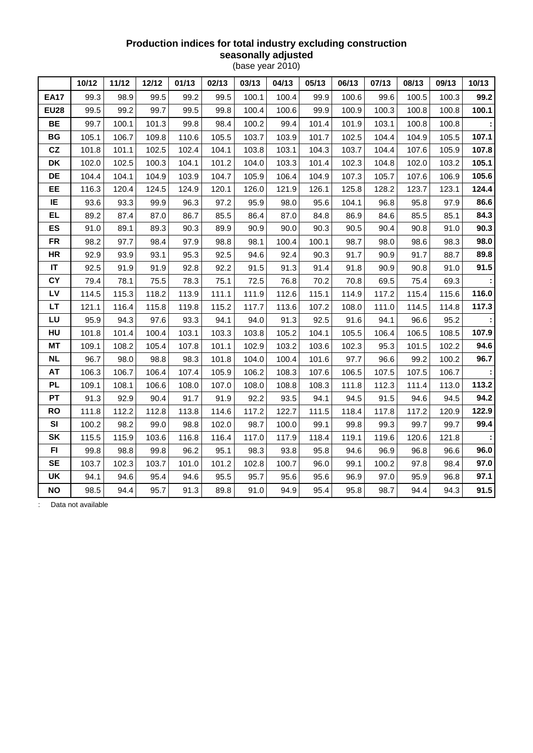## **Production indices for total industry excluding construction seasonally adjusted**

(base year 2010)

|             | 10/12 | 11/12 | 12/12 | 01/13 | 02/13 | 03/13 | 04/13 | 05/13 | 06/13 | 07/13 | 08/13 | 09/13 | 10/13 |
|-------------|-------|-------|-------|-------|-------|-------|-------|-------|-------|-------|-------|-------|-------|
| <b>EA17</b> | 99.3  | 98.9  | 99.5  | 99.2  | 99.5  | 100.1 | 100.4 | 99.9  | 100.6 | 99.6  | 100.5 | 100.3 | 99.2  |
| <b>EU28</b> | 99.5  | 99.2  | 99.7  | 99.5  | 99.8  | 100.4 | 100.6 | 99.9  | 100.9 | 100.3 | 100.8 | 100.8 | 100.1 |
| BE          | 99.7  | 100.1 | 101.3 | 99.8  | 98.4  | 100.2 | 99.4  | 101.4 | 101.9 | 103.1 | 100.8 | 100.8 |       |
| BG          | 105.1 | 106.7 | 109.8 | 110.6 | 105.5 | 103.7 | 103.9 | 101.7 | 102.5 | 104.4 | 104.9 | 105.5 | 107.1 |
| CZ          | 101.8 | 101.1 | 102.5 | 102.4 | 104.1 | 103.8 | 103.1 | 104.3 | 103.7 | 104.4 | 107.6 | 105.9 | 107.8 |
| DK          | 102.0 | 102.5 | 100.3 | 104.1 | 101.2 | 104.0 | 103.3 | 101.4 | 102.3 | 104.8 | 102.0 | 103.2 | 105.1 |
| DE          | 104.4 | 104.1 | 104.9 | 103.9 | 104.7 | 105.9 | 106.4 | 104.9 | 107.3 | 105.7 | 107.6 | 106.9 | 105.6 |
| EE          | 116.3 | 120.4 | 124.5 | 124.9 | 120.1 | 126.0 | 121.9 | 126.1 | 125.8 | 128.2 | 123.7 | 123.1 | 124.4 |
| IE          | 93.6  | 93.3  | 99.9  | 96.3  | 97.2  | 95.9  | 98.0  | 95.6  | 104.1 | 96.8  | 95.8  | 97.9  | 86.6  |
| <b>EL</b>   | 89.2  | 87.4  | 87.0  | 86.7  | 85.5  | 86.4  | 87.0  | 84.8  | 86.9  | 84.6  | 85.5  | 85.1  | 84.3  |
| ES          | 91.0  | 89.1  | 89.3  | 90.3  | 89.9  | 90.9  | 90.0  | 90.3  | 90.5  | 90.4  | 90.8  | 91.0  | 90.3  |
| <b>FR</b>   | 98.2  | 97.7  | 98.4  | 97.9  | 98.8  | 98.1  | 100.4 | 100.1 | 98.7  | 98.0  | 98.6  | 98.3  | 98.0  |
| <b>HR</b>   | 92.9  | 93.9  | 93.1  | 95.3  | 92.5  | 94.6  | 92.4  | 90.3  | 91.7  | 90.9  | 91.7  | 88.7  | 89.8  |
| $\sf IT$    | 92.5  | 91.9  | 91.9  | 92.8  | 92.2  | 91.5  | 91.3  | 91.4  | 91.8  | 90.9  | 90.8  | 91.0  | 91.5  |
| CY          | 79.4  | 78.1  | 75.5  | 78.3  | 75.1  | 72.5  | 76.8  | 70.2  | 70.8  | 69.5  | 75.4  | 69.3  |       |
| LV          | 114.5 | 115.3 | 118.2 | 113.9 | 111.1 | 111.9 | 112.6 | 115.1 | 114.9 | 117.2 | 115.4 | 115.6 | 116.0 |
| <b>LT</b>   | 121.1 | 116.4 | 115.8 | 119.8 | 115.2 | 117.7 | 113.6 | 107.2 | 108.0 | 111.0 | 114.5 | 114.8 | 117.3 |
| LU          | 95.9  | 94.3  | 97.6  | 93.3  | 94.1  | 94.0  | 91.3  | 92.5  | 91.6  | 94.1  | 96.6  | 95.2  |       |
| HU          | 101.8 | 101.4 | 100.4 | 103.1 | 103.3 | 103.8 | 105.2 | 104.1 | 105.5 | 106.4 | 106.5 | 108.5 | 107.9 |
| <b>MT</b>   | 109.1 | 108.2 | 105.4 | 107.8 | 101.1 | 102.9 | 103.2 | 103.6 | 102.3 | 95.3  | 101.5 | 102.2 | 94.6  |
| <b>NL</b>   | 96.7  | 98.0  | 98.8  | 98.3  | 101.8 | 104.0 | 100.4 | 101.6 | 97.7  | 96.6  | 99.2  | 100.2 | 96.7  |
| AT          | 106.3 | 106.7 | 106.4 | 107.4 | 105.9 | 106.2 | 108.3 | 107.6 | 106.5 | 107.5 | 107.5 | 106.7 |       |
| <b>PL</b>   | 109.1 | 108.1 | 106.6 | 108.0 | 107.0 | 108.0 | 108.8 | 108.3 | 111.8 | 112.3 | 111.4 | 113.0 | 113.2 |
| <b>PT</b>   | 91.3  | 92.9  | 90.4  | 91.7  | 91.9  | 92.2  | 93.5  | 94.1  | 94.5  | 91.5  | 94.6  | 94.5  | 94.2  |
| <b>RO</b>   | 111.8 | 112.2 | 112.8 | 113.8 | 114.6 | 117.2 | 122.7 | 111.5 | 118.4 | 117.8 | 117.2 | 120.9 | 122.9 |
| SI          | 100.2 | 98.2  | 99.0  | 98.8  | 102.0 | 98.7  | 100.0 | 99.1  | 99.8  | 99.3  | 99.7  | 99.7  | 99.4  |
| SK          | 115.5 | 115.9 | 103.6 | 116.8 | 116.4 | 117.0 | 117.9 | 118.4 | 119.1 | 119.6 | 120.6 | 121.8 |       |
| F1          | 99.8  | 98.8  | 99.8  | 96.2  | 95.1  | 98.3  | 93.8  | 95.8  | 94.6  | 96.9  | 96.8  | 96.6  | 96.0  |
| <b>SE</b>   | 103.7 | 102.3 | 103.7 | 101.0 | 101.2 | 102.8 | 100.7 | 96.0  | 99.1  | 100.2 | 97.8  | 98.4  | 97.0  |
| UK          | 94.1  | 94.6  | 95.4  | 94.6  | 95.5  | 95.7  | 95.6  | 95.6  | 96.9  | 97.0  | 95.9  | 96.8  | 97.1  |
| <b>NO</b>   | 98.5  | 94.4  | 95.7  | 91.3  | 89.8  | 91.0  | 94.9  | 95.4  | 95.8  | 98.7  | 94.4  | 94.3  | 91.5  |